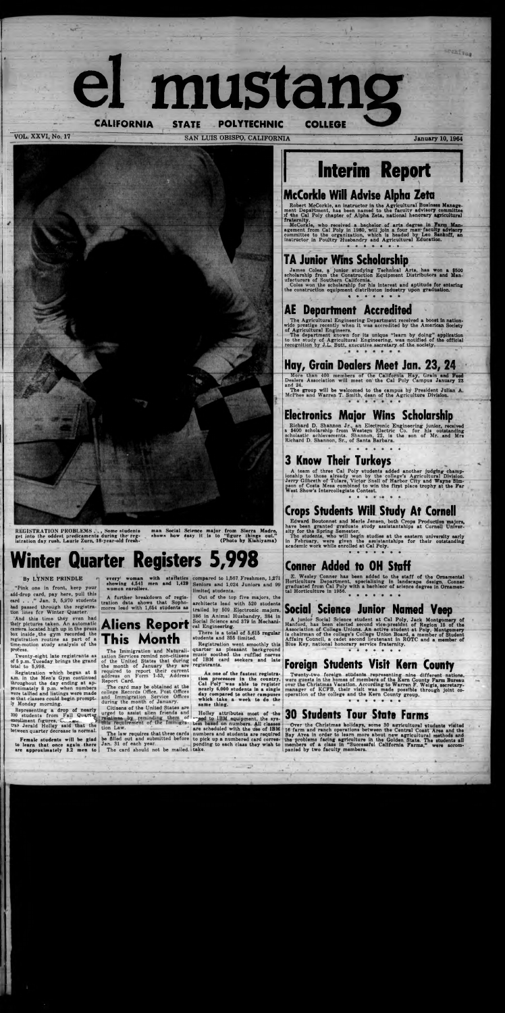rentvas

# el mustang

**VOL. XXVI, No. 17** SAN LUIS OBISPO, CALIFORNIA January 10, 1964

**REGISTRATION PROBLEMS , Some students get into the oddest predicaments during the reg-istration day rush. Laurie Zurn, 18-year-old fresh-**

**man Social Science major from Sierra Madre, shows how easy it ii to "figure things out." (Photo by Kianiyama)**

And this time they even had their pictures taken. An automatic camera located high up in the press box inside,the gym recorded the registration routine as part of a time-motion study analysis of the process.

## **Winter Quarter Registers 5,998**

By LYNNE PRINDLE front. i

every' woman with statistics compared to 1,567. Freshmen, 1,271 showing 4,541 men and 1,429 Seniors and 1,024 Juniors and 99 Seniors and 1,024 Juniors and 99

add-drop card, pay here, pull this card . . ." Jan. 3, 5,970 students had passed through the registration lines fcr Winter Quarter.

Twenty-eight late registrants as of 5 p.m. Tuesday brings the grand total to 5,998.

Registration which began at 8 a.m. in the Men's Gym continued throughout the day ending at approximately 8 p.m. when numbers were tallied and listings were made •o that classes could begin promptly Monday morning.

> The law requires that these cards be filled out and submitted before Jan. 31 of each year The card should not be mailed. take.

limited students.

Representing a drop of nearly 300 students from Fall Quarter enrollment figures, . > trae Jerald Holley said that the between quarter decrease is normal.

Female students will be glad to learn that once again there are approximately 3.2 men to

women enrollees.

A further breakdown of registration data shows that Sopho-mores lead with 1,654 students as

**Aliens Report This Month**

> Holley attributes most of the **read** to IBM equipment, the system based on numbers. All classes are scheduled with the use of IBM numbers and studenta are required to pick up a numbered card corres-ponding to each claas they wish to

The Immigration and Naturali-zation Services remind non-citizens of the United States that during the month of January they are reauired to report their current adaress on Form 1-53, Address Report Card.

The card may be obtained at the college Records Office, Post Offices and Immigration Service Offices during the month of January.

Citizens of the United States are<br>urged to assist alien friends and urged to assist alien friends and<br>relatives by reminding them of<br>this requirement of the Immigra-<br>tion Law. fraternity.<br>McCorkle, who received a bachelor of arts degree in Farm Management from Cal Poly in 1960, will join a four man faculty advisory<br>committee to the organization, which is headed by Leo Sankoff, an instructor in P \*\*\*\*\*\*\*\*

scholarship from the Construction Equipment Distributors and Man-<br>ufacturers of Southern California.<br>Coles won the scholarship for his interest and aptitude for entering<br>the construction equipment distributon industry upon \*\*•••\*•

Out of the top five majors, the architects lead with 520 students trailed by 509 Electronic majors, 386 in Animal Husbandry, 384 in Social Science and 379 in Mechanical Engineering.

There is a total of 5,615 regular students and 365 limited.

Registration went smoothly this quarter as pleasant background music soothed the ruffled nerves of IBM card seekers and late registrants.

A team of three Cal Poly students added another judging championship to those already won by the college's Agricultural Division.<br>Jerry Gilbreth of Tulare, Victor Snell of Harbor City and Wayne Sim-<br>pson of Costa Mesa comb pson of Costa Mesa combined to wir<br>West Show's Intercollegiate Contest. • • » \*■ • •

As one of the fastest registration processes in the country, Cal Poly was able to register nearly 6,000 students in a single day compared to other campuses which take a week to do the same thing.

# **Interim Report**

#### McCorkle Will Advise Alpha Zeta

Robert McCorkle, an instructor in the Agricultural Business Manage-ment Department, has been named to the faculty advisory committee >f the Cal Poly chapter of Alpha Zeta, national honorary agricultural

Over the Christman holidays, some 30 agricultural students visited<br>16 farm and ranch operations between the Central Coast Area and the<br>Bay Area in order to learn more about new agricultural methods and<br>the problems facing panied by two faculty members.

 $k = 10$ 

#### TA Junior Wins Scholarship

James Coles, a junior studying Technical Arts, has won a \$500 cholarship from the Construction Equipment Distributors and Man-

#### AE Department Accredited

The Agricultural Engineering Department received a boost in nation-<br>wide prestige recently when it was accredited by the American Society<br>of Agricultural Engineers.<br>The department known for its unique "learn by doing" appl

#### Hay, Grain Dealers Meet Jan. 23, 24

More than 400 members of the California Hay, Grain and Feed Dealers Association will meet on' the Cal Poly Campus January 23 and 24.

The group will be welcomed to the campus by President Julian A. McPhee and Warren T. Smith, dean of the Agriculture Division. • \*•»•\*\*

#### Electronics Major Wins Scholarship

 $9.8.9.1$ 

Richard D. Shannon Jr., an Electronic Engineering junior, received<br>a \$400 scholarship from Western Electric Co. for his outstanding<br>scholastic achievements. Shannon, 22, is the son of Mr. and Mrs<br>Richard D. Shannon, Sr., o

## 3 Know Their Turkeys

### Crops Students Will Study At Cornell

Edward Boutonnet and Merle Jensen, both Crops Production majors,<br>have been granted graduate study assistantships at Cornell Univer-<br>sity for the Spring Semester.<br>The students, who will begin studies at the eastern universi

### Conner Added to OH Staff

E. Wesley Conner has been added to the staff of the Ornamental Horticulture Department, specializing in landscape design. Conner graduated from Cal Poly with a bachleor of science degree in Ornamental Horticulture in 1956.

#### Social Science Junior Named Veep

A junior Social Science student at Cal Poly, Jack Montgomery of Hanford, has been elected second vice-presidnt of Region 15 of the Association of College Unions. An active student at Poly, Montgomery is chairman of the col Blue Key, national honorary service fraternity.

#### Foreign Students Visit Kern County

Twenty-two foreign students representing nine different nations,<br>were guests in the homes of members of the Kern County Farm Bureau<br>over the Christmas Vacation. According to Warren F. Weigis, secretary-<br>manager of KCFB, th

#### 30 Students Tour State Farms